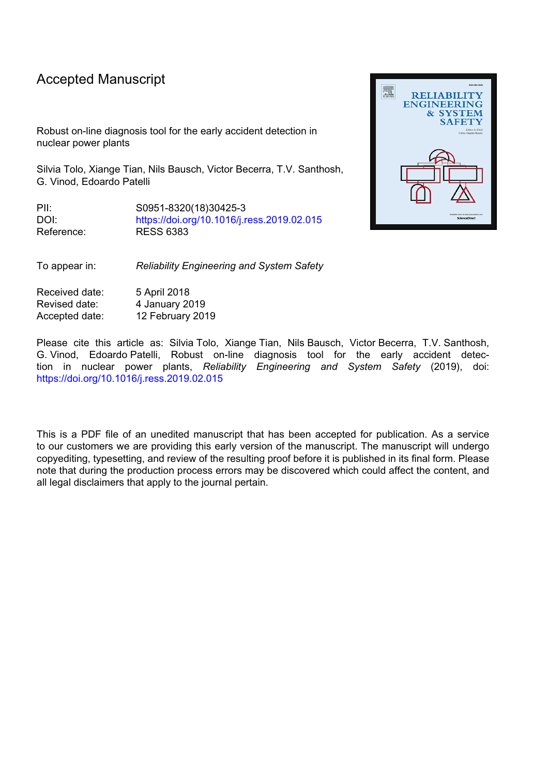## Accepted Manuscript

Robust on-line diagnosis tool for the early accident detection in nuclear power plants

Silvia Tolo, Xiange Tian, Nils Bausch, Victor Becerra, T.V. Santhosh, G. Vinod, Edoardo Patelli

PII: S0951-8320(18)30425-3 DOI: <https://doi.org/10.1016/j.ress.2019.02.015><br>Reference: RESS 6383 **RESS 6383** 

To appear in: *Reliability Engineering and System Safety*

Received date: 5 April 2018 Revised date: 4 January 2019 Accepted date: 12 February 2019

Please cite this article as: Silvia Tolo, Xiange Tian, Nils Bausch, Victor Becerra, T.V. Santhosh, G. Vinod, Edoardo Patelli, Robust on-line diagnosis tool for the early accident detection in nuclear power plants, *Reliability Engineering and System Safety* (2019), doi: <https://doi.org/10.1016/j.ress.2019.02.015>

This is a PDF file of an unedited manuscript that has been accepted for publication. As a service to our customers we are providing this early version of the manuscript. The manuscript will undergo copyediting, typesetting, and review of the resulting proof before it is published in its final form. Please note that during the production process errors may be discovered which could affect the content, and all legal disclaimers that apply to the journal pertain.

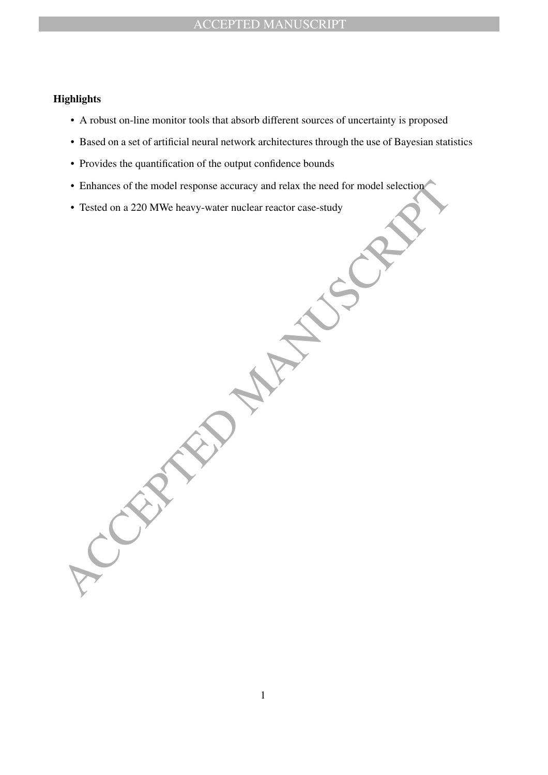## ACCEPTED MANUSCRIPT

## **Highlights**

- A robust on-line monitor tools that absorb different sources of uncertainty is proposed
- Based on a set of artificial neural network architectures through the use of Bayesian statistics
- Provides the quantification of the output confidence bounds
- Enhances of the model response accuracy and relax the need for model selection
- Tested on a 220 MWe heavy-water nuclear reactor case-study

- Enhances of the model response accuracy and relax the need for model selection<br>- Tested on a 220 MWe heavy-water nucleur reactor case-study<br>- Tested on a 220 MWe heavy-water nucleur reactor case-study<br>- And the control o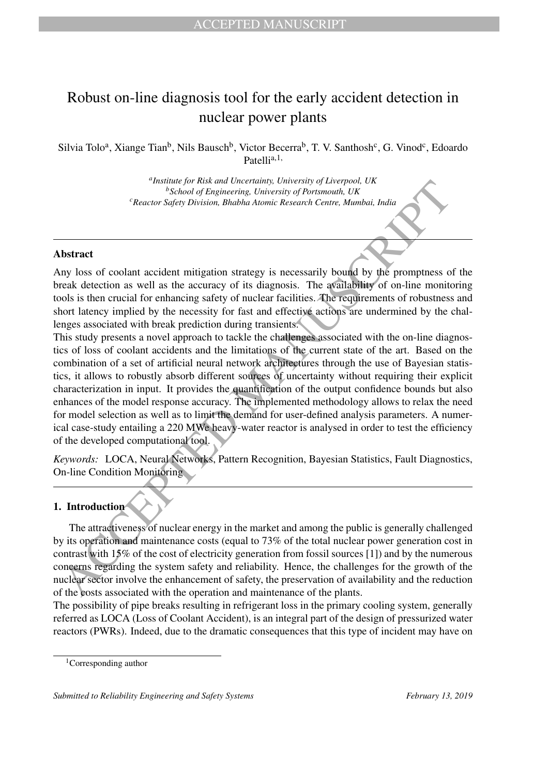# Robust on-line diagnosis tool for the early accident detection in nuclear power plants

Silvia Tolo<sup>a</sup>, Xiange Tian<sup>b</sup>, Nils Bausch<sup>b</sup>, Victor Becerra<sup>b</sup>, T. V. Santhosh<sup>c</sup>, G. Vinod<sup>c</sup>, Edoardo Patelli<sup>a,1,</sup>

> *a Institute for Risk and Uncertainty, University of Liverpool, UK <sup>b</sup>School of Engineering, University of Portsmouth, UK <sup>c</sup>Reactor Safety Division, Bhabha Atomic Research Centre, Mumbai, India*

### **Abstract**

Any loss of coolant accident mitigation strategy is necessarily bound by the promptness of the break detection as well as the accuracy of its diagnosis. The availability of on-line monitoring tools is then crucial for enhancing safety of nuclear facilities. The requirements of robustness and short latency implied by the necessity for fast and effective actions are undermined by the challenges associated with break prediction during transients.

**Exhault on Fast and Uncertainty, University of Inversion (ER) and the control of Experimental Centre and Uncertain Centre Manuscript (Exception of Experimental Security of the security of the security of the security of** This study presents a novel approach to tackle the challenges associated with the on-line diagnostics of loss of coolant accidents and the limitations of the current state of the art. Based on the combination of a set of artificial neural network architectures through the use of Bayesian statistics, it allows to robustly absorb different sources of uncertainty without requiring their explicit characterization in input. It provides the quantification of the output confidence bounds but also enhances of the model response accuracy. The implemented methodology allows to relax the need for model selection as well as to limit the demand for user-defined analysis parameters. A numerical case-study entailing a 220 MWe heavy-water reactor is analysed in order to test the efficiency of the developed computational tool.

*Keywords:* LOCA, Neural Networks, Pattern Recognition, Bayesian Statistics, Fault Diagnostics, On-line Condition Monitoring

## **1. Introduction**

The attractiveness of nuclear energy in the market and among the public is generally challenged by its operation and maintenance costs (equal to 73% of the total nuclear power generation cost in contrast with 15% of the cost of electricity generation from fossil sources [1]) and by the numerous concerns regarding the system safety and reliability. Hence, the challenges for the growth of the nuclear sector involve the enhancement of safety, the preservation of availability and the reduction of the costs associated with the operation and maintenance of the plants.

The possibility of pipe breaks resulting in refrigerant loss in the primary cooling system, generally referred as LOCA (Loss of Coolant Accident), is an integral part of the design of pressurized water reactors (PWRs). Indeed, due to the dramatic consequences that this type of incident may have on

<sup>1</sup>Corresponding author

*Submitted to Reliability Engineering and Safety Systems February 13, 2019*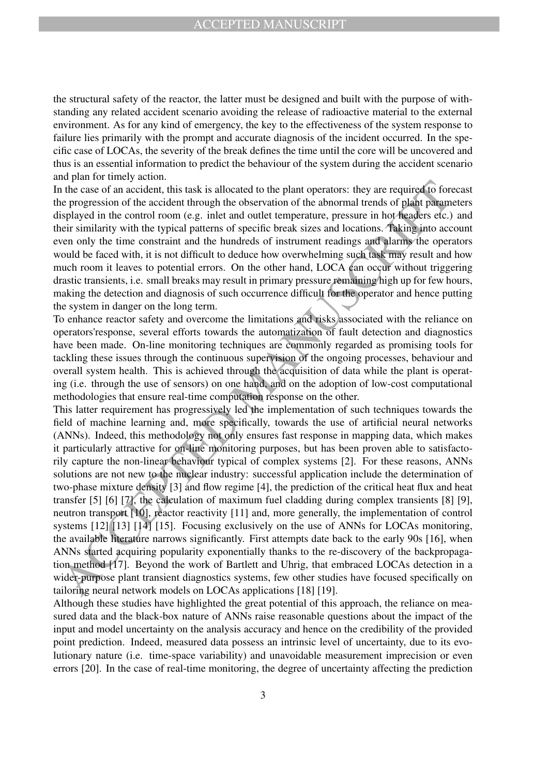the structural safety of the reactor, the latter must be designed and built with the purpose of withstanding any related accident scenario avoiding the release of radioactive material to the external environment. As for any kind of emergency, the key to the effectiveness of the system response to failure lies primarily with the prompt and accurate diagnosis of the incident occurred. In the specific case of LOCAs, the severity of the break defines the time until the core will be uncovered and thus is an essential information to predict the behaviour of the system during the accident scenario and plan for timely action.

In the case of an accident, this task is allocated to the plant operators: they are required to forecast the progression of the accident through the observation of the abnormal trends of plant parameters displayed in the control room (e.g. inlet and outlet temperature, pressure in hot headers etc.) and their similarity with the typical patterns of specific break sizes and locations. Taking into account even only the time constraint and the hundreds of instrument readings and alarms the operators would be faced with, it is not difficult to deduce how overwhelming such task may result and how much room it leaves to potential errors. On the other hand, LOCA can occur without triggering drastic transients, i.e. small breaks may result in primary pressure remaining high up for few hours, making the detection and diagnosis of such occurrence difficult for the operator and hence putting the system in danger on the long term.

To enhance reactor safety and overcome the limitations and risks associated with the reliance on operators'response, several efforts towards the automatization of fault detection and diagnostics have been made. On-line monitoring techniques are commonly regarded as promising tools for tackling these issues through the continuous supervision of the ongoing processes, behaviour and overall system health. This is achieved through the acquisition of data while the plant is operating (i.e. through the use of sensors) on one hand, and on the adoption of low-cost computational methodologies that ensure real-time computation response on the other.

In the case of an accident, this task is allocated to the plant operators: they are required to for the accident through the observation of the abournal teration from progression of the control from the control from the c This latter requirement has progressively led the implementation of such techniques towards the field of machine learning and, more specifically, towards the use of artificial neural networks (ANNs). Indeed, this methodology not only ensures fast response in mapping data, which makes it particularly attractive for on-line monitoring purposes, but has been proven able to satisfactorily capture the non-linear behaviour typical of complex systems [2]. For these reasons, ANNs solutions are not new to the nuclear industry: successful application include the determination of two-phase mixture density [3] and flow regime [4], the prediction of the critical heat flux and heat transfer [5] [6] [7], the calculation of maximum fuel cladding during complex transients [8] [9], neutron transport [10], reactor reactivity [11] and, more generally, the implementation of control systems [12] [13] [14] [15]. Focusing exclusively on the use of ANNs for LOCAs monitoring, the available literature narrows significantly. First attempts date back to the early 90s [16], when ANNs started acquiring popularity exponentially thanks to the re-discovery of the backpropagation method [17]. Beyond the work of Bartlett and Uhrig, that embraced LOCAs detection in a wider-purpose plant transient diagnostics systems, few other studies have focused specifically on tailoring neural network models on LOCAs applications [18] [19].

Although these studies have highlighted the great potential of this approach, the reliance on measured data and the black-box nature of ANNs raise reasonable questions about the impact of the input and model uncertainty on the analysis accuracy and hence on the credibility of the provided point prediction. Indeed, measured data possess an intrinsic level of uncertainty, due to its evolutionary nature (i.e. time-space variability) and unavoidable measurement imprecision or even errors [20]. In the case of real-time monitoring, the degree of uncertainty affecting the prediction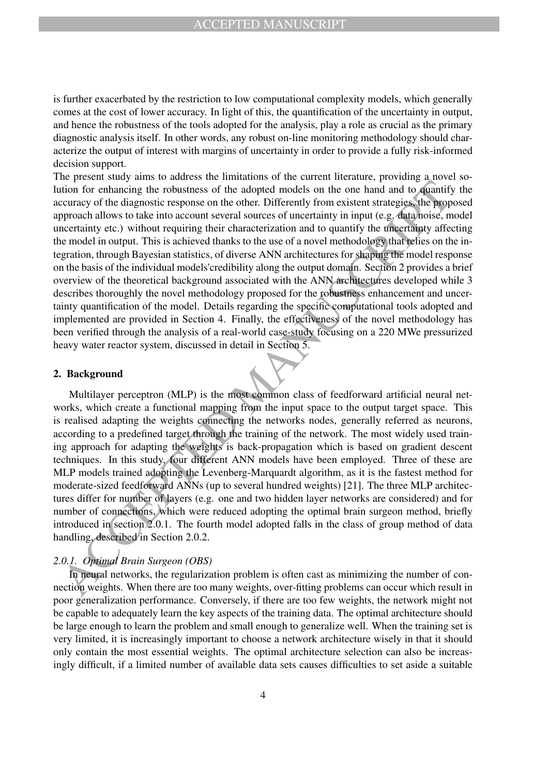is further exacerbated by the restriction to low computational complexity models, which generally comes at the cost of lower accuracy. In light of this, the quantification of the uncertainty in output, and hence the robustness of the tools adopted for the analysis, play a role as crucial as the primary diagnostic analysis itself. In other words, any robust on-line monitoring methodology should characterize the output of interest with margins of uncertainty in order to provide a fully risk-informed decision support.

The most end of the model in the computer of the model in the second model of the solence of the computer content of the adopted model is the one hand and to **quantity** proposed allows to take into account several sources The present study aims to address the limitations of the current literature, providing a novel solution for enhancing the robustness of the adopted models on the one hand and to quantify the accuracy of the diagnostic response on the other. Differently from existent strategies, the proposed approach allows to take into account several sources of uncertainty in input (e.g. data noise, model uncertainty etc.) without requiring their characterization and to quantify the uncertainty affecting the model in output. This is achieved thanks to the use of a novel methodology that relies on the integration, through Bayesian statistics, of diverse ANN architectures for shaping the model response on the basis of the individual models'credibility along the output domain. Section 2 provides a brief overview of the theoretical background associated with the ANN architectures developed while 3 describes thoroughly the novel methodology proposed for the robustness enhancement and uncertainty quantification of the model. Details regarding the specific computational tools adopted and implemented are provided in Section 4. Finally, the effectiveness of the novel methodology has been verified through the analysis of a real-world case-study focusing on a 220 MWe pressurized heavy water reactor system, discussed in detail in Section 5.

#### **2. Background**

Multilayer perceptron (MLP) is the most common class of feedforward artificial neural networks, which create a functional mapping from the input space to the output target space. This is realised adapting the weights connecting the networks nodes, generally referred as neurons, according to a predefined target through the training of the network. The most widely used training approach for adapting the weights is back-propagation which is based on gradient descent techniques. In this study, four different ANN models have been employed. Three of these are MLP models trained adopting the Levenberg-Marquardt algorithm, as it is the fastest method for moderate-sized feedforward ANNs (up to several hundred weights) [21]. The three MLP architectures differ for number of layers (e.g. one and two hidden layer networks are considered) and for number of connections, which were reduced adopting the optimal brain surgeon method, briefly introduced in section 2.0.1. The fourth model adopted falls in the class of group method of data handling, described in Section 2.0.2.

#### *2.0.1. Optimal Brain Surgeon (OBS)*

In neural networks, the regularization problem is often cast as minimizing the number of connection weights. When there are too many weights, over-fitting problems can occur which result in poor generalization performance. Conversely, if there are too few weights, the network might not be capable to adequately learn the key aspects of the training data. The optimal architecture should be large enough to learn the problem and small enough to generalize well. When the training set is very limited, it is increasingly important to choose a network architecture wisely in that it should only contain the most essential weights. The optimal architecture selection can also be increasingly difficult, if a limited number of available data sets causes difficulties to set aside a suitable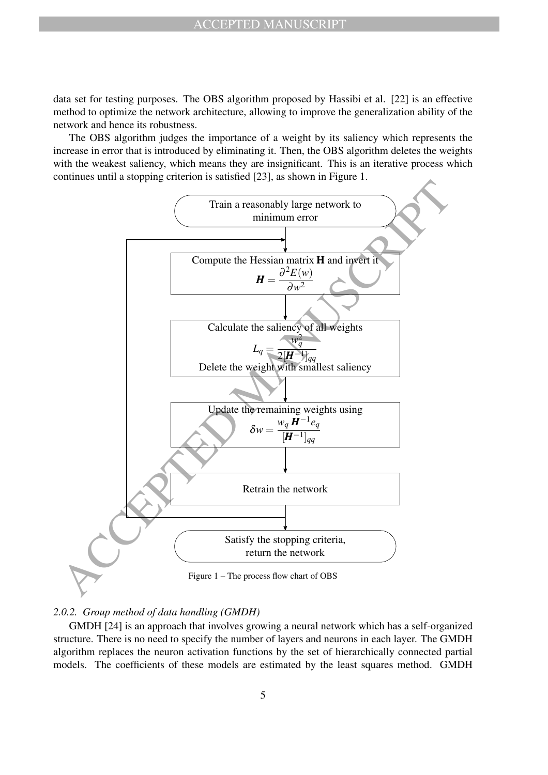data set for testing purposes. The OBS algorithm proposed by Hassibi et al. [22] is an effective method to optimize the network architecture, allowing to improve the generalization ability of the network and hence its robustness.

The OBS algorithm judges the importance of a weight by its saliency which represents the increase in error that is introduced by eliminating it. Then, the OBS algorithm deletes the weights with the weakest saliency, which means they are insignificant. This is an iterative process which continues until a stopping criterion is satisfied [23], as shown in Figure 1.



#### *2.0.2. Group method of data handling (GMDH)*

GMDH [24] is an approach that involves growing a neural network which has a self-organized structure. There is no need to specify the number of layers and neurons in each layer. The GMDH algorithm replaces the neuron activation functions by the set of hierarchically connected partial models. The coefficients of these models are estimated by the least squares method. GMDH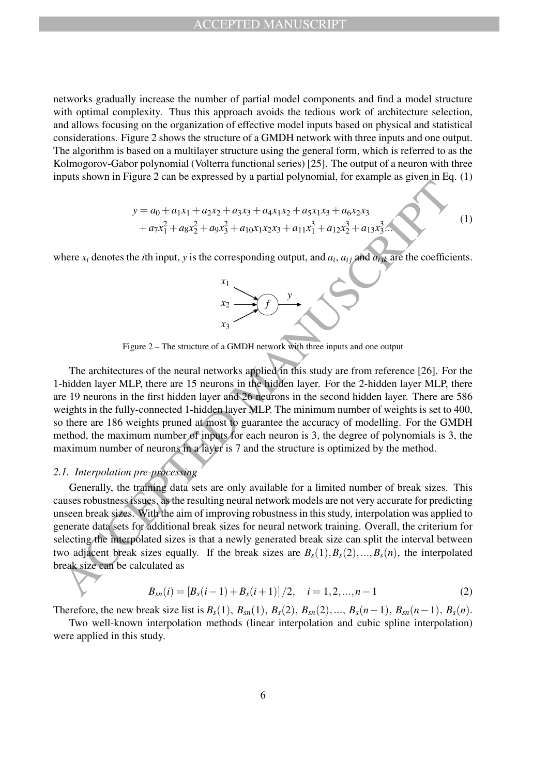networks gradually increase the number of partial model components and find a model structure with optimal complexity. Thus this approach avoids the tedious work of architecture selection, and allows focusing on the organization of effective model inputs based on physical and statistical considerations. Figure 2 shows the structure of a GMDH network with three inputs and one output. The algorithm is based on a multilayer structure using the general form, which is referred to as the Kolmogorov-Gabor polynomial (Volterra functional series) [25]. The output of a neuron with three inputs shown in Figure 2 can be expressed by a partial polynomial, for example as given in Eq. (1)

$$
y = a_0 + a_1x_1 + a_2x_2 + a_3x_3 + a_4x_1x_2 + a_5x_1x_3 + a_6x_2x_3
$$
  
+  $a_7x_1^2 + a_8x_2^2 + a_9x_3^2 + a_{10}x_1x_2x_3 + a_{11}x_1^3 + a_{12}x_2^3 + a_{13}x_3^3$  (1)

where  $x_i$  denotes the *i*th input, y is the corresponding output, and  $a_i$ ,  $a_{ij}$  and  $a_{ijk}$  are the coefficients.



Figure 2 – The structure of a GMDH network with three inputs and one output

 $y = a_0 + a_1x_1 + a_2x_2 + a_3x_3 + a_4x_1x_2 + a_5x_1x_3 + a_6x_2x_3$ <br>  $+ a_7x_1^2 + a_8x_2^2 + a_9x_3^2 + a_1x_1x_3^2 + a_1x_2x_3^2 + a_1x_3x_4^2$ <br>
where  $x_i$  denotes the *i*th input,  $y$  is the corresponding output, and  $a_i$ ,  $a_{ij}$  and  $a_{jk$ The architectures of the neural networks applied in this study are from reference [26]. For the 1-hidden layer MLP, there are 15 neurons in the hidden layer. For the 2-hidden layer MLP, there are 19 neurons in the first hidden layer and 26 neurons in the second hidden layer. There are 586 weights in the fully-connected 1-hidden layer MLP. The minimum number of weights is set to 400, so there are 186 weights pruned at most to guarantee the accuracy of modelling. For the GMDH method, the maximum number of inputs for each neuron is 3, the degree of polynomials is 3, the maximum number of neurons in a layer is 7 and the structure is optimized by the method.

#### *2.1. Interpolation pre-processing*

Generally, the training data sets are only available for a limited number of break sizes. This causes robustness issues, as the resulting neural network models are not very accurate for predicting unseen break sizes. With the aim of improving robustness in this study, interpolation was applied to generate data sets for additional break sizes for neural network training. Overall, the criterium for selecting the interpolated sizes is that a newly generated break size can split the interval between two adjacent break sizes equally. If the break sizes are  $B_s(1), B_s(2),...,B_s(n)$ , the interpolated break size can be calculated as

$$
B_{sn}(i) = [B_s(i-1) + B_s(i+1)]/2, \quad i = 1, 2, ..., n-1
$$
 (2)

Therefore, the new break size list is  $B_s(1)$ ,  $B_{sn}(1)$ ,  $B_s(2)$ ,  $B_{sn}(2)$ ,...,  $B_s(n-1)$ ,  $B_{sn}(n-1)$ ,  $B_s(n)$ .

Two well-known interpolation methods (linear interpolation and cubic spline interpolation) were applied in this study.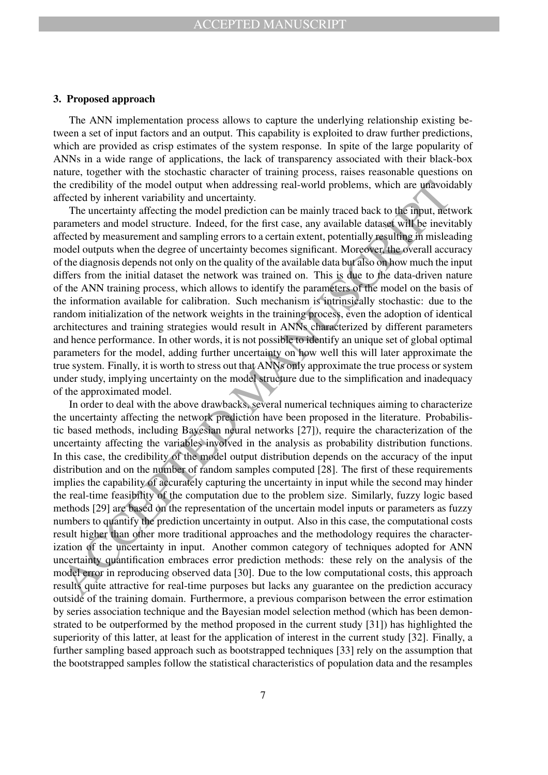#### **3. Proposed approach**

The ANN implementation process allows to capture the underlying relationship existing between a set of input factors and an output. This capability is exploited to draw further predictions, which are provided as crisp estimates of the system response. In spite of the large popularity of ANNs in a wide range of applications, the lack of transparency associated with their black-box nature, together with the stochastic character of training process, raises reasonable questions on the credibility of the model output when addressing real-world problems, which are unavoidably affected by inherent variability and uncertainty.

The uncertainty affecting the model prediction can be mainly traced back to the input, network parameters and model structure. Indeed, for the first case, any available dataset will be inevitably affected by measurement and sampling errors to a certain extent, potentially resulting in misleading model outputs when the degree of uncertainty becomes significant. Moreover, the overall accuracy of the diagnosis depends not only on the quality of the available data but also on how much the input differs from the initial dataset the network was trained on. This is due to the data-driven nature of the ANN training process, which allows to identify the parameters of the model on the basis of the information available for calibration. Such mechanism is intrinsically stochastic: due to the random initialization of the network weights in the training process, even the adoption of identical architectures and training strategies would result in ANNs characterized by different parameters and hence performance. In other words, it is not possible to identify an unique set of global optimal parameters for the model, adding further uncertainty on how well this will later approximate the true system. Finally, it is worth to stress out that ANNs only approximate the true process or system under study, implying uncertainty on the model structure due to the simplification and inadequacy of the approximated model.

ie credibitity of the model output when addets and reaction in this case, the credibity of the model output when advantigate and model stream and model stream and model stream and model stream and model stream and model st In order to deal with the above drawbacks, several numerical techniques aiming to characterize the uncertainty affecting the network prediction have been proposed in the literature. Probabilistic based methods, including Bayesian neural networks [27]), require the characterization of the uncertainty affecting the variables involved in the analysis as probability distribution functions. In this case, the credibility of the model output distribution depends on the accuracy of the input distribution and on the number of random samples computed [28]. The first of these requirements implies the capability of accurately capturing the uncertainty in input while the second may hinder the real-time feasibility of the computation due to the problem size. Similarly, fuzzy logic based methods [29] are based on the representation of the uncertain model inputs or parameters as fuzzy numbers to quantify the prediction uncertainty in output. Also in this case, the computational costs result higher than other more traditional approaches and the methodology requires the characterization of the uncertainty in input. Another common category of techniques adopted for ANN uncertainty quantification embraces error prediction methods: these rely on the analysis of the model error in reproducing observed data [30]. Due to the low computational costs, this approach results quite attractive for real-time purposes but lacks any guarantee on the prediction accuracy outside of the training domain. Furthermore, a previous comparison between the error estimation by series association technique and the Bayesian model selection method (which has been demonstrated to be outperformed by the method proposed in the current study [31]) has highlighted the superiority of this latter, at least for the application of interest in the current study [32]. Finally, a further sampling based approach such as bootstrapped techniques [33] rely on the assumption that the bootstrapped samples follow the statistical characteristics of population data and the resamples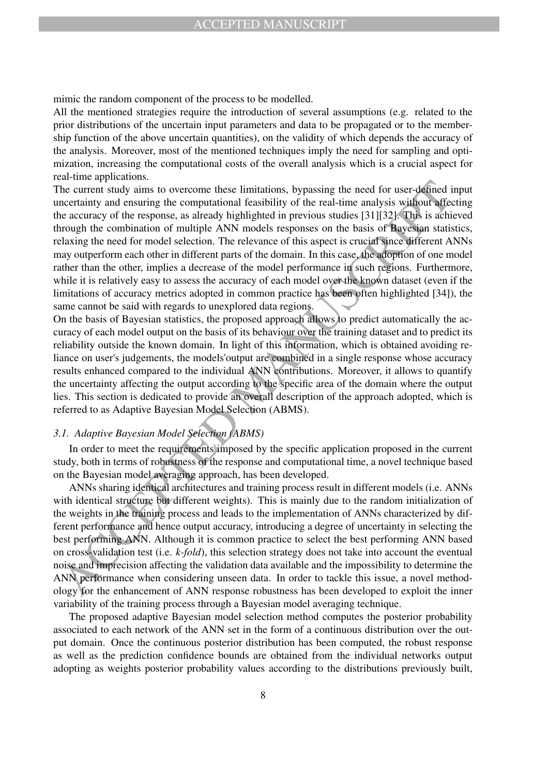mimic the random component of the process to be modelled.

All the mentioned strategies require the introduction of several assumptions (e.g. related to the prior distributions of the uncertain input parameters and data to be propagated or to the membership function of the above uncertain quantities), on the validity of which depends the accuracy of the analysis. Moreover, most of the mentioned techniques imply the need for sampling and optimization, increasing the computational costs of the overall analysis which is a crucial aspect for real-time applications.

The current study sims to overcome these limitations, bypassing the need for user-defined increaring and ensuring the computational feasibility of the real-time analysis wighted necessary of the response, as alleadry high The current study aims to overcome these limitations, bypassing the need for user-defined input uncertainty and ensuring the computational feasibility of the real-time analysis without affecting the accuracy of the response, as already highlighted in previous studies [31][32]. This is achieved through the combination of multiple ANN models responses on the basis of Bayesian statistics, relaxing the need for model selection. The relevance of this aspect is crucial since different ANNs may outperform each other in different parts of the domain. In this case, the adoption of one model rather than the other, implies a decrease of the model performance in such regions. Furthermore, while it is relatively easy to assess the accuracy of each model over the known dataset (even if the limitations of accuracy metrics adopted in common practice has been often highlighted [34]), the same cannot be said with regards to unexplored data regions.

On the basis of Bayesian statistics, the proposed approach allows to predict automatically the accuracy of each model output on the basis of its behaviour over the training dataset and to predict its reliability outside the known domain. In light of this information, which is obtained avoiding reliance on user's judgements, the models'output are combined in a single response whose accuracy results enhanced compared to the individual ANN contributions. Moreover, it allows to quantify the uncertainty affecting the output according to the specific area of the domain where the output lies. This section is dedicated to provide an overall description of the approach adopted, which is referred to as Adaptive Bayesian Model Selection (ABMS).

#### *3.1. Adaptive Bayesian Model Selection (ABMS)*

In order to meet the requirements imposed by the specific application proposed in the current study, both in terms of robustness of the response and computational time, a novel technique based on the Bayesian model averaging approach, has been developed.

ANNs sharing identical architectures and training process result in different models (i.e. ANNs with identical structure but different weights). This is mainly due to the random initialization of the weights in the training process and leads to the implementation of ANNs characterized by different performance and hence output accuracy, introducing a degree of uncertainty in selecting the best performing ANN. Although it is common practice to select the best performing ANN based on cross-validation test (i.e. *k-fold*), this selection strategy does not take into account the eventual noise and imprecision affecting the validation data available and the impossibility to determine the ANN performance when considering unseen data. In order to tackle this issue, a novel methodology for the enhancement of ANN response robustness has been developed to exploit the inner variability of the training process through a Bayesian model averaging technique.

The proposed adaptive Bayesian model selection method computes the posterior probability associated to each network of the ANN set in the form of a continuous distribution over the output domain. Once the continuous posterior distribution has been computed, the robust response as well as the prediction confidence bounds are obtained from the individual networks output adopting as weights posterior probability values according to the distributions previously built,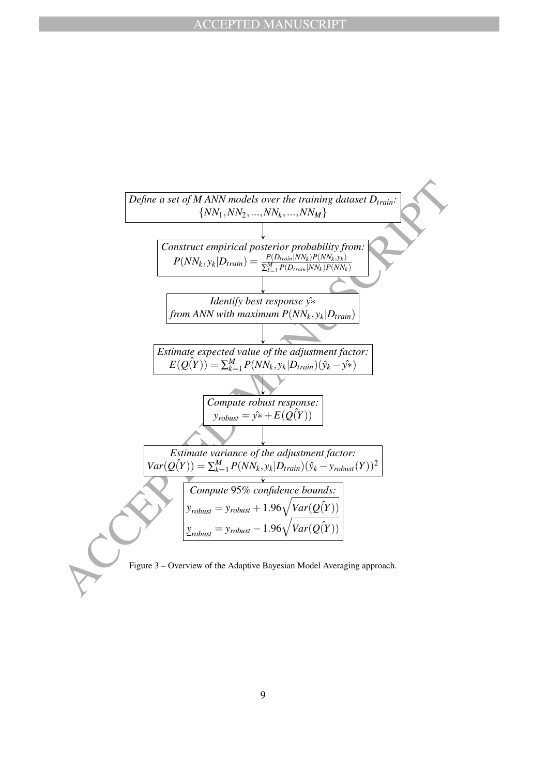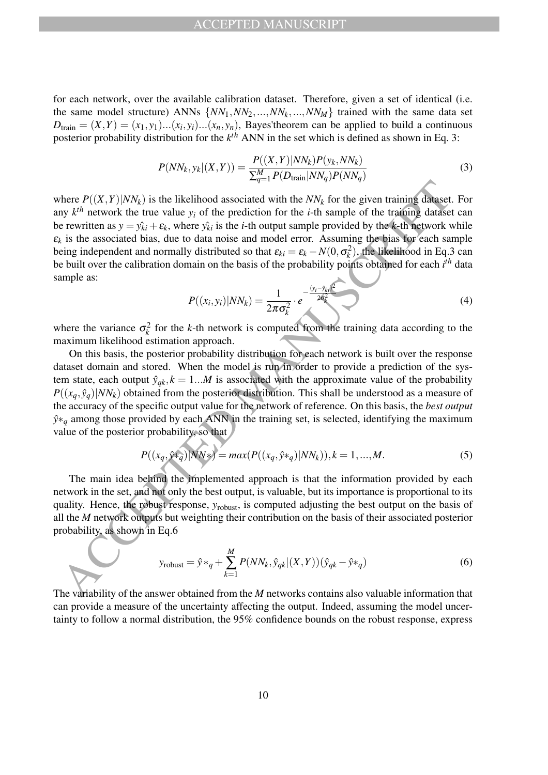for each network, over the available calibration dataset. Therefore, given a set of identical (i.e. the same model structure) ANNs  $\{NN_1, NN_2, ..., NN_k, ..., NN_M\}$  trained with the same data set  $D_{\text{train}} = (X, Y) = (x_1, y_1) \dots (x_i, y_i) \dots (x_n, y_n)$ , Bayes'theorem can be applied to build a continuous posterior probability distribution for the  $k^{th}$  ANN in the set which is defined as shown in Eq. 3:

$$
P(NN_k, y_k|(X, Y)) = \frac{P((X, Y)|NN_k)P(y_k, NN_k)}{\sum_{q=1}^{M} P(D_{\text{train}}|NN_q)P(NN_q)}
$$
(3)

there  $P((X, Y)|NN_k)$  is the likelihood associated with the  $NN_k$  for the given training dialact<br>why  $k^h$  network the true value  $y_1$  of the prediction for the *i*-th sample of the training dialact<br>is the restricted bias, du where  $P((X, Y)|NN_k)$  is the likelihood associated with the  $NN_k$  for the given training dataset. For any  $k^{th}$  network the true value  $y_i$  of the prediction for the *i*-th sample of the training dataset can be rewritten as  $y = \hat{y}_{ki} + \varepsilon_k$ , where  $\hat{y}_{ki}$  is the *i*-th output sample provided by the *k*-th network while  $\varepsilon_k$  is the associated bias, due to data noise and model error. Assuming the bias for each sample being independent and normally distributed so that  $\varepsilon_{ki} = \varepsilon_k - N(0, \sigma_k^2)$ , the likelihood in Eq.3 can be built over the calibration domain on the basis of the probability points obtained for each *i th* data sample as:

$$
P((x_i, y_i)|NN_k) = \frac{1}{2\pi\sigma_k^2} \cdot e^{-\frac{(y_i - \hat{y}_{ki})^2}{2\sigma_k^2}}
$$
(4)

where the variance  $\sigma_k^2$  for the *k*-th network is computed from the training data according to the maximum likelihood estimation approach.

On this basis, the posterior probability distribution for each network is built over the response dataset domain and stored. When the model is run in order to provide a prediction of the system state, each output  $\hat{y}_{ak}$ ,  $k = 1...M$  is associated with the approximate value of the probability  $P((x_q, \hat{y}_q)|NN_k)$  obtained from the posterior distribution. This shall be understood as a measure of the accuracy of the specific output value for the network of reference. On this basis, the *best output y*ˆ∗*<sup>q</sup>* among those provided by each ANN in the training set, is selected, identifying the maximum value of the posterior probability, so that

$$
P((x_q, \hat{y} *_{q}) | NN*) = max(P((x_q, \hat{y} *_{q}) | NN_k)), k = 1, ..., M.
$$
 (5)

The main idea behind the implemented approach is that the information provided by each network in the set, and not only the best output, is valuable, but its importance is proportional to its quality. Hence, the robust response, *y*robust, is computed adjusting the best output on the basis of all the *M* network outputs but weighting their contribution on the basis of their associated posterior probability, as shown in Eq.6

$$
y_{\text{robust}} = \hat{y} *_{q} + \sum_{k=1}^{M} P(NN_{k}, \hat{y}_{qk} | (X, Y)) (\hat{y}_{qk} - \hat{y} *_{q})
$$
(6)

The variability of the answer obtained from the *M* networks contains also valuable information that can provide a measure of the uncertainty affecting the output. Indeed, assuming the model uncertainty to follow a normal distribution, the 95% confidence bounds on the robust response, express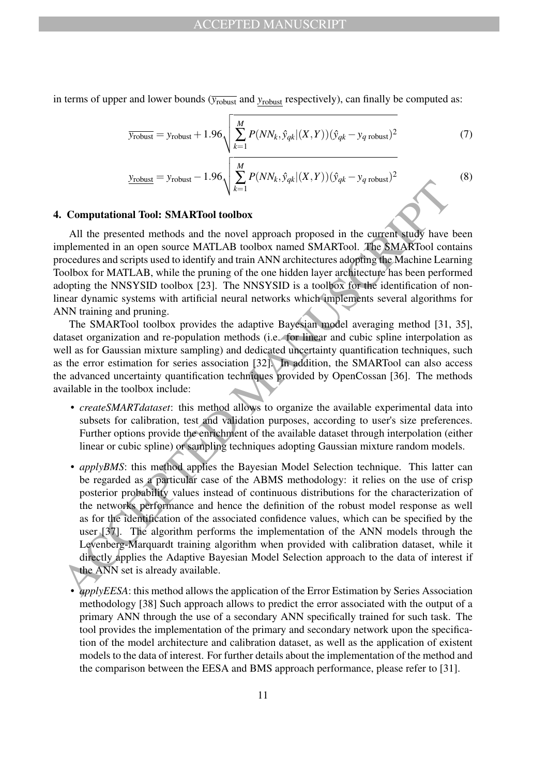in terms of upper and lower bounds  $(\overline{y_{\text{robust}}}$  and  $y_{\text{robust}}$  respectively), can finally be computed as:

$$
\overline{y_{\text{robust}}} = y_{\text{robust}} + 1.96 \sqrt{\sum_{k=1}^{M} P(NN_k, \hat{y}_{qk} | (X, Y)) (\hat{y}_{qk} - y_{q \text{ robust}})^2}
$$
(7)

$$
\underline{y_{\text{robust}}} = y_{\text{robust}} - 1.96 \sqrt{\sum_{k=1}^{M} P(NN_k, \hat{y}_{qk} | (X, Y)) (\hat{y}_{qk} - y_{q \text{ robust}})^2}
$$
(8)

#### **4. Computational Tool: SMARTool toolbox**

All the presented methods and the novel approach proposed in the current study have been implemented in an open source MATLAB toolbox named SMARTool. The SMARTool contains procedures and scripts used to identify and train ANN architectures adopting the Machine Learning Toolbox for MATLAB, while the pruning of the one hidden layer architecture has been performed adopting the NNSYSID toolbox [23]. The NNSYSID is a toolbox for the identification of nonlinear dynamic systems with artificial neural networks which implements several algorithms for ANN training and pruning.

The SMARTool toolbox provides the adaptive Bayesian model averaging method [31, 35], dataset organization and re-population methods (i.e. for linear and cubic spline interpolation as well as for Gaussian mixture sampling) and dedicated uncertainty quantification techniques, such as the error estimation for series association [32]. In addition, the SMARTool can also access the advanced uncertainty quantification techniques provided by OpenCossan [36]. The methods available in the toolbox include:

- *createSMARTdataset*: this method allows to organize the available experimental data into subsets for calibration, test and validation purposes, according to user's size preferences. Further options provide the enrichment of the available dataset through interpolation (either linear or cubic spline) or sampling techniques adopting Gaussian mixture random models.
- The presentation and the move in the state of the state of the content of the content of the presented in an open source MATLAB toolbox manufol SMARTool control and the note of the MATLAB content concelence and stripts us • *applyBMS*: this method applies the Bayesian Model Selection technique. This latter can be regarded as a particular case of the ABMS methodology: it relies on the use of crisp posterior probability values instead of continuous distributions for the characterization of the networks performance and hence the definition of the robust model response as well as for the identification of the associated confidence values, which can be specified by the user [37]. The algorithm performs the implementation of the ANN models through the Levenberg-Marquardt training algorithm when provided with calibration dataset, while it directly applies the Adaptive Bayesian Model Selection approach to the data of interest if the ANN set is already available.
	- *applyEESA*: this method allows the application of the Error Estimation by Series Association methodology [38] Such approach allows to predict the error associated with the output of a primary ANN through the use of a secondary ANN specifically trained for such task. The tool provides the implementation of the primary and secondary network upon the specification of the model architecture and calibration dataset, as well as the application of existent models to the data of interest. For further details about the implementation of the method and the comparison between the EESA and BMS approach performance, please refer to [31].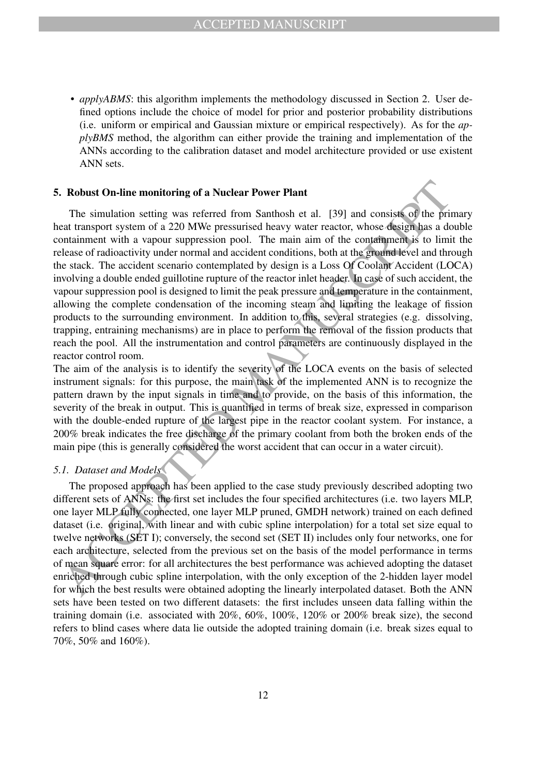• *applyABMS*: this algorithm implements the methodology discussed in Section 2. User defined options include the choice of model for prior and posterior probability distributions (i.e. uniform or empirical and Gaussian mixture or empirical respectively). As for the *applyBMS* method, the algorithm can either provide the training and implementation of the ANNs according to the calibration dataset and model architecture provided or use existent ANN sets.

#### **5. Robust On-line monitoring of a Nuclear Power Plant**

**EXECUTE:** The simulation setting was referred from Santhosh et al. [39] and consists of the printerium and and any was referred from Santhosh et al. [39] and consists of the printerium of a 220 MWe pressure of a 220 MWe The simulation setting was referred from Santhosh et al. [39] and consists of the primary heat transport system of a 220 MWe pressurised heavy water reactor, whose design has a double containment with a vapour suppression pool. The main aim of the containment is to limit the release of radioactivity under normal and accident conditions, both at the ground level and through the stack. The accident scenario contemplated by design is a Loss Of Coolant Accident (LOCA) involving a double ended guillotine rupture of the reactor inlet header. In case of such accident, the vapour suppression pool is designed to limit the peak pressure and temperature in the containment, allowing the complete condensation of the incoming steam and limiting the leakage of fission products to the surrounding environment. In addition to this, several strategies (e.g. dissolving, trapping, entraining mechanisms) are in place to perform the removal of the fission products that reach the pool. All the instrumentation and control parameters are continuously displayed in the reactor control room.

The aim of the analysis is to identify the severity of the LOCA events on the basis of selected instrument signals: for this purpose, the main task of the implemented ANN is to recognize the pattern drawn by the input signals in time and to provide, on the basis of this information, the severity of the break in output. This is quantified in terms of break size, expressed in comparison with the double-ended rupture of the largest pipe in the reactor coolant system. For instance, a 200% break indicates the free discharge of the primary coolant from both the broken ends of the main pipe (this is generally considered the worst accident that can occur in a water circuit).

#### *5.1. Dataset and Models*

The proposed approach has been applied to the case study previously described adopting two different sets of ANNs: the first set includes the four specified architectures (i.e. two layers MLP, one layer MLP fully connected, one layer MLP pruned, GMDH network) trained on each defined dataset (i.e. original, with linear and with cubic spline interpolation) for a total set size equal to twelve networks (SET I); conversely, the second set (SET II) includes only four networks, one for each architecture, selected from the previous set on the basis of the model performance in terms of mean square error: for all architectures the best performance was achieved adopting the dataset enriched through cubic spline interpolation, with the only exception of the 2-hidden layer model for which the best results were obtained adopting the linearly interpolated dataset. Both the ANN sets have been tested on two different datasets: the first includes unseen data falling within the training domain (i.e. associated with 20%, 60%, 100%, 120% or 200% break size), the second refers to blind cases where data lie outside the adopted training domain (i.e. break sizes equal to 70%, 50% and 160%).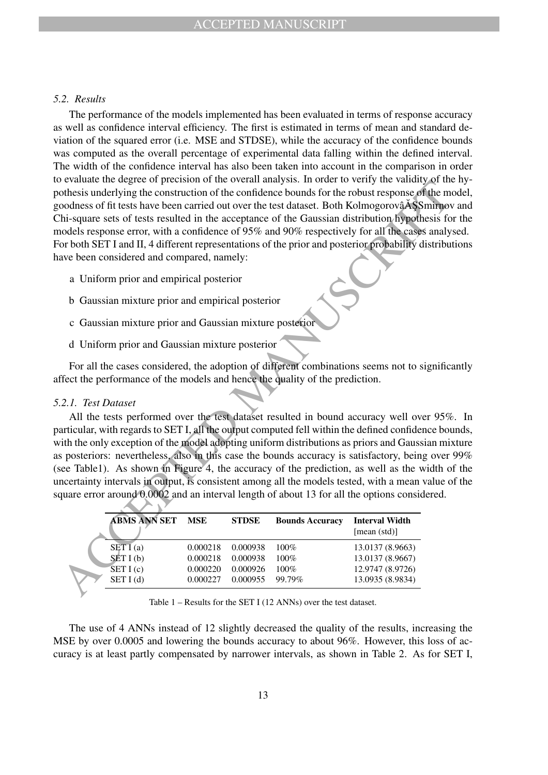#### *5.2. Results*

The performance of the models implemented has been evaluated in terms of response accuracy as well as confidence interval efficiency. The first is estimated in terms of mean and standard deviation of the squared error (i.e. MSE and STDSE), while the accuracy of the confidence bounds was computed as the overall percentage of experimental data falling within the defined interval. The width of the confidence interval has also been taken into account in the comparison in order to evaluate the degree of precision of the overall analysis. In order to verify the validity of the hypothesis underlying the construction of the confidence bounds for the robust response of the model, goodness of fit tests have been carried out over the test dataset. Both Kolmogorovâ $\tilde{A}$ \$Smirnov and Chi-square sets of tests resulted in the acceptance of the Gaussian distribution hypothesis for the models response error, with a confidence of 95% and 90% respectively for all the cases analysed. For both SET I and II, 4 different representations of the prior and posterior probability distributions have been considered and compared, namely:

- a Uniform prior and empirical posterior
- b Gaussian mixture prior and empirical posterior
- c Gaussian mixture prior and Gaussian mixture posterior
- d Uniform prior and Gaussian mixture posterior

For all the cases considered, the adoption of different combinations seems not to significantly affect the performance of the models and hence the quality of the prediction.

#### *5.2.1. Test Dataset*

between the expecte of precision of the order analysis. In their extent and the solution of the confidence bounds for the robin tresponse of the moments of fitters have been carried out over the statast. Both Kolungcorov All the tests performed over the test dataset resulted in bound accuracy well over 95%. In particular, with regards to SET I, all the output computed fell within the defined confidence bounds, with the only exception of the model adopting uniform distributions as priors and Gaussian mixture as posteriors: nevertheless, also in this case the bounds accuracy is satisfactory, being over 99% (see Table1). As shown in Figure 4, the accuracy of the prediction, as well as the width of the uncertainty intervals in output, is consistent among all the models tested, with a mean value of the square error around 0.0002 and an interval length of about 13 for all the options considered.

| <b>ABMS ANN SET</b> | <b>MSE</b> | <b>STDSE</b> | <b>Bounds Accuracy</b> | <b>Interval Width</b><br>[mean (std)] |
|---------------------|------------|--------------|------------------------|---------------------------------------|
| SETI(a)             | 0.000218   | 0.000938     | $100\%$                | 13.0137 (8.9663)                      |
| SET I(b)            | 0.000218   | 0.000938     | $100\%$                | 13.0137 (8.9667)                      |
| SET I(c)            | 0.000220   | 0.000926     | $100\%$                | 12.9747 (8.9726)                      |
| SET I(d)            | 0.000227   | 0.000955     | 99.79%                 | 13.0935 (8.9834)                      |
|                     |            |              |                        |                                       |

Table 1 – Results for the SET I (12 ANNs) over the test dataset.

The use of 4 ANNs instead of 12 slightly decreased the quality of the results, increasing the MSE by over 0.0005 and lowering the bounds accuracy to about 96%. However, this loss of accuracy is at least partly compensated by narrower intervals, as shown in Table 2. As for SET I,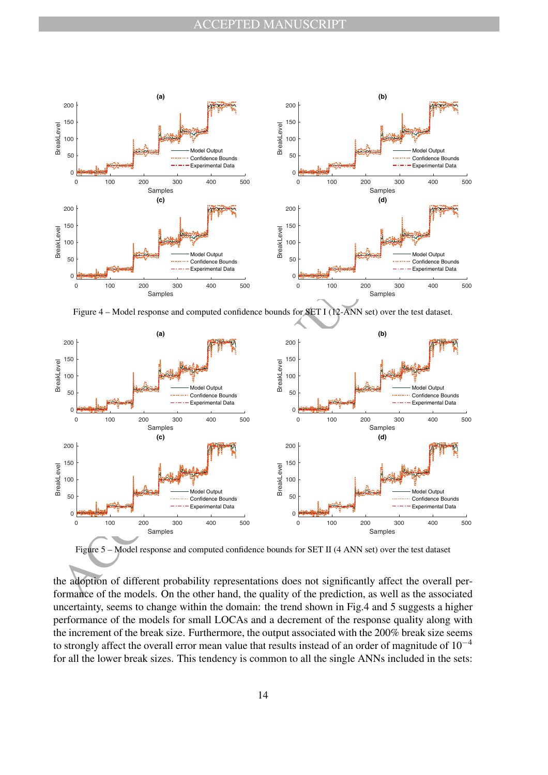

Figure 4 – Model response and computed confidence bounds for SET I (12-ANN set) over the test dataset.



Figure 5 – Model response and computed confidence bounds for SET II (4 ANN set) over the test dataset

the adoption of different probability representations does not significantly affect the overall performance of the models. On the other hand, the quality of the prediction, as well as the associated uncertainty, seems to change within the domain: the trend shown in Fig.4 and 5 suggests a higher performance of the models for small LOCAs and a decrement of the response quality along with the increment of the break size. Furthermore, the output associated with the 200% break size seems to strongly affect the overall error mean value that results instead of an order of magnitude of  $10^{-4}$ for all the lower break sizes. This tendency is common to all the single ANNs included in the sets: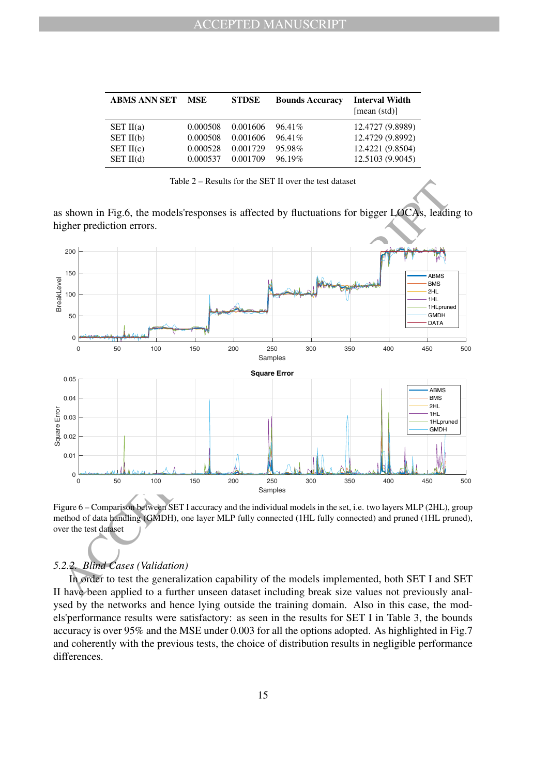| <b>ABMS ANN SET</b> | <b>MSE</b> | <b>STDSE</b> | <b>Bounds Accuracy</b> | <b>Interval Width</b><br>[mean (std)] |
|---------------------|------------|--------------|------------------------|---------------------------------------|
| SET II(a)           | 0.000508   | 0.001606     | 96.41\%                | 12.4727 (9.8989)                      |
| SET II(b)           | 0.000508   | 0.001606     | 96.41\%                | 12.4729 (9.8992)                      |
| SET II(c)           | 0.000528   | 0.001729     | 95.98%                 | 12.4221 (9.8504)                      |
| SET II(d)           | 0.000537   | 0.001709     | 96.19%                 | 12.5103 (9.9045)                      |

Table 2 – Results for the SET II over the test dataset

as shown in Fig.6, the models'responses is affected by fluctuations for bigger LOCAs, leading to higher prediction errors.



Figure 6 – Comparison between SET I accuracy and the individual models in the set, i.e. two layers MLP (2HL), group method of data handling (GMDH), one layer MLP fully connected (1HL fully connected) and pruned (1HL pruned), over the test dataset

## *5.2.2. Blind Cases (Validation)*

In order to test the generalization capability of the models implemented, both SET I and SET II have been applied to a further unseen dataset including break size values not previously analysed by the networks and hence lying outside the training domain. Also in this case, the models'performance results were satisfactory: as seen in the results for SET I in Table 3, the bounds accuracy is over 95% and the MSE under 0.003 for all the options adopted. As highlighted in Fig.7 and coherently with the previous tests, the choice of distribution results in negligible performance differences.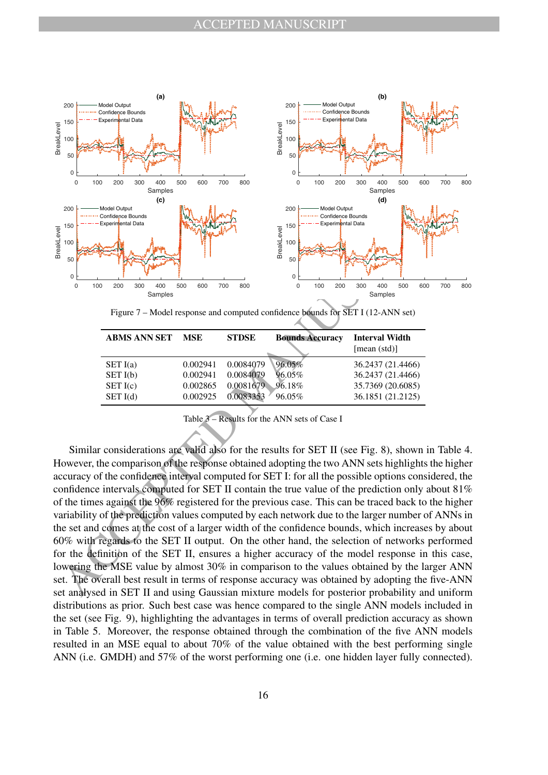

Figure 7 – Model response and computed confidence bounds for SET I (12-ANN set)

| <b>ABMS ANN SET</b> | <b>MSE</b> | <b>STDSE</b> | <b>Bounds Accuracy</b> | <b>Interval Width</b><br>[mean (std)] |
|---------------------|------------|--------------|------------------------|---------------------------------------|
| SET I(a)            | 0.002941   | 0.0084079    | 96.05%                 | 36.2437 (21.4466)                     |
| SET I(b)            | 0.002941   | 0.0084079    | 96.05%                 | 36.2437 (21.4466)                     |
| SET I(c)            | 0.002865   | 0.0081679    | 96.18%                 | 35.7369 (20.6085)                     |
| SET I(d)            | 0.002925   | 0.0083353    | 96.05%                 | 36.1851 (21.2125)                     |

Table 3 – Results for the ANN sets of Case I

The total constraints are a set of the constraints and the set of the constraints of the constraints of the constraints of the constraints of the constraints of the constraints of the constraints of the constraints of the Similar considerations are valid also for the results for SET II (see Fig. 8), shown in Table 4. However, the comparison of the response obtained adopting the two ANN sets highlights the higher accuracy of the confidence interval computed for SET I: for all the possible options considered, the confidence intervals computed for SET II contain the true value of the prediction only about 81% of the times against the 96% registered for the previous case. This can be traced back to the higher variability of the prediction values computed by each network due to the larger number of ANNs in the set and comes at the cost of a larger width of the confidence bounds, which increases by about 60% with regards to the SET II output. On the other hand, the selection of networks performed for the definition of the SET II, ensures a higher accuracy of the model response in this case, lowering the MSE value by almost 30% in comparison to the values obtained by the larger ANN set. The overall best result in terms of response accuracy was obtained by adopting the five-ANN set analysed in SET II and using Gaussian mixture models for posterior probability and uniform distributions as prior. Such best case was hence compared to the single ANN models included in the set (see Fig. 9), highlighting the advantages in terms of overall prediction accuracy as shown in Table 5. Moreover, the response obtained through the combination of the five ANN models resulted in an MSE equal to about 70% of the value obtained with the best performing single ANN (i.e. GMDH) and 57% of the worst performing one (i.e. one hidden layer fully connected).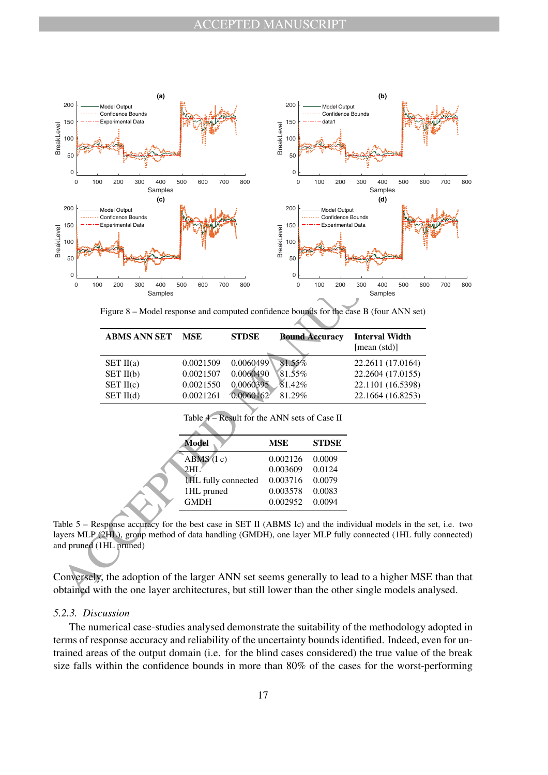

Figure 8 – Model response and computed confidence bounds for the case B (four ANN set)

| 0                                                                                      | 100<br>200<br>300                                                                                             | 400<br>Samples | 500<br>600                 | 700 | 800          | 0                                            | 100          | 200                                           | 300 | 400<br>Samples        | 500 | 600 | 700 |
|----------------------------------------------------------------------------------------|---------------------------------------------------------------------------------------------------------------|----------------|----------------------------|-----|--------------|----------------------------------------------|--------------|-----------------------------------------------|-----|-----------------------|-----|-----|-----|
|                                                                                        |                                                                                                               | (c)            |                            |     |              |                                              |              |                                               |     | (d)                   |     |     |     |
| 200                                                                                    | Model Output                                                                                                  |                |                            |     |              | 200                                          |              | <b>Model Output</b>                           |     |                       |     |     |     |
|                                                                                        | Confidence Bounds<br>Experimental Data                                                                        |                |                            |     |              |                                              |              | Confidence Bounds<br><b>Experimental Data</b> |     |                       |     |     |     |
| 150                                                                                    |                                                                                                               |                |                            |     |              | 150                                          |              |                                               |     |                       |     |     |     |
| 100                                                                                    |                                                                                                               |                |                            |     |              | 100                                          |              |                                               |     |                       |     |     |     |
|                                                                                        |                                                                                                               |                |                            |     |              | <b>BreakLevel</b>                            |              |                                               |     |                       |     |     |     |
| 50                                                                                     |                                                                                                               |                |                            |     |              | 50                                           |              |                                               |     |                       |     |     |     |
| 0                                                                                      |                                                                                                               |                |                            |     |              | 0                                            |              |                                               |     |                       |     |     |     |
| $\mathbf 0$                                                                            | 100<br>200<br>300                                                                                             | 400            | 500<br>600                 | 700 | 800          | 0                                            | 100          | 200                                           | 300 | 400                   | 500 | 600 | 700 |
|                                                                                        |                                                                                                               | Samples        |                            |     |              |                                              |              |                                               |     | Samples               |     |     |     |
|                                                                                        |                                                                                                               |                |                            |     |              |                                              |              |                                               |     |                       |     |     |     |
| Figure 8 – Model response and computed confidence bounds for the case B (four ANN set) |                                                                                                               |                |                            |     |              |                                              |              |                                               |     |                       |     |     |     |
|                                                                                        | <b>ABMS ANN SET</b>                                                                                           |                | <b>MSE</b>                 |     | <b>STDSE</b> | <b>Bound Accuracy</b>                        |              |                                               |     | <b>Interval Width</b> |     |     |     |
|                                                                                        |                                                                                                               |                |                            |     |              |                                              |              |                                               |     | [mean (std)]          |     |     |     |
|                                                                                        | SET II(a)                                                                                                     |                | 0.0021509                  |     | 0.0060499    | 81.55%                                       |              |                                               |     | 22.2611 (17.0164)     |     |     |     |
|                                                                                        | SET II(b)                                                                                                     |                | 0.0021507                  |     | 0.0060490    | 81.55%                                       |              |                                               |     | 22.2604 (17.0155)     |     |     |     |
|                                                                                        | SET II(c)                                                                                                     |                | 0.0021550                  |     | 0.0060395    | 81.42%                                       |              |                                               |     | 22.1101 (16.5398)     |     |     |     |
|                                                                                        | SET II(d)                                                                                                     |                | 0.0021261                  |     | 0.0060162    | 81.29%                                       |              |                                               |     | 22.1664 (16.8253)     |     |     |     |
|                                                                                        |                                                                                                               |                |                            |     |              |                                              |              |                                               |     |                       |     |     |     |
|                                                                                        |                                                                                                               |                |                            |     |              | Table 4 - Result for the ANN sets of Case II |              |                                               |     |                       |     |     |     |
|                                                                                        |                                                                                                               |                |                            |     |              |                                              |              |                                               |     |                       |     |     |     |
|                                                                                        |                                                                                                               |                | <b>Model</b>               |     |              | <b>MSE</b>                                   | <b>STDSE</b> |                                               |     |                       |     |     |     |
|                                                                                        |                                                                                                               |                | $ABMS$ (I c)               |     |              | 0.002126                                     | 0.0009       |                                               |     |                       |     |     |     |
|                                                                                        |                                                                                                               |                | 2HL                        |     |              | 0.003609                                     | 0.0124       |                                               |     |                       |     |     |     |
|                                                                                        |                                                                                                               |                | <b>IHL</b> fully connected |     |              | 0.003716                                     | 0.0079       |                                               |     |                       |     |     |     |
|                                                                                        |                                                                                                               |                | 1HL pruned                 |     |              | 0.003578                                     | 0.0083       |                                               |     |                       |     |     |     |
|                                                                                        |                                                                                                               |                | <b>GMDH</b>                |     |              | 0.002952                                     | 0.0094       |                                               |     |                       |     |     |     |
|                                                                                        |                                                                                                               |                |                            |     |              |                                              |              |                                               |     |                       |     |     |     |
|                                                                                        | able $5 -$ Response accuracy for the best case in SET II (ABMS Ic) and the individual models in the set, i.e. |                |                            |     |              |                                              |              |                                               |     |                       |     |     |     |
|                                                                                        | yers MLP (2HL), group method of data handling (GMDH), one layer MLP fully connected (1HL fully conne          |                |                            |     |              |                                              |              |                                               |     |                       |     |     |     |
|                                                                                        | nd pruned (1HL pruned)                                                                                        |                |                            |     |              |                                              |              |                                               |     |                       |     |     |     |
|                                                                                        |                                                                                                               |                |                            |     |              |                                              |              |                                               |     |                       |     |     |     |
|                                                                                        |                                                                                                               |                |                            |     |              |                                              |              |                                               |     |                       |     |     |     |
|                                                                                        | onversely, the adoption of the larger ANN set seems generally to lead to a higher MSE than                    |                |                            |     |              |                                              |              |                                               |     |                       |     |     |     |
|                                                                                        | btained with the one layer architectures, but still lower than the other single models analysed               |                |                            |     |              |                                              |              |                                               |     |                       |     |     |     |
|                                                                                        |                                                                                                               |                |                            |     |              |                                              |              |                                               |     |                       |     |     |     |

Table 5 – Response accuracy for the best case in SET II (ABMS Ic) and the individual models in the set, i.e. two layers MLP (2HL), group method of data handling (GMDH), one layer MLP fully connected (1HL fully connected) and pruned (1HL pruned)

Conversely, the adoption of the larger ANN set seems generally to lead to a higher MSE than that obtained with the one layer architectures, but still lower than the other single models analysed.

#### *5.2.3. Discussion*

The numerical case-studies analysed demonstrate the suitability of the methodology adopted in terms of response accuracy and reliability of the uncertainty bounds identified. Indeed, even for untrained areas of the output domain (i.e. for the blind cases considered) the true value of the break size falls within the confidence bounds in more than 80% of the cases for the worst-performing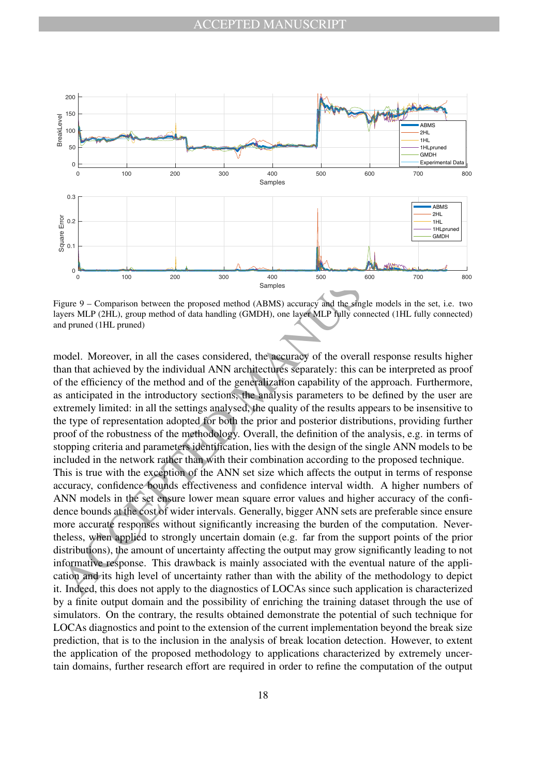

Figure 9 – Comparison between the proposed method (ABMS) accuracy and the single models in the set, i.e. two layers MLP (2HL), group method of data handling (GMDH), one layer MLP fully connected (1HL fully connected) and pruned (1HL pruned)

Survey and the computer of the proposed receiver and control in the shift) of the certain and the certain in the shift of  $\sigma$  and the certain of the certain of the shift of  $\sigma$  and determined of data handling (GMDHI), o model. Moreover, in all the cases considered, the accuracy of the overall response results higher than that achieved by the individual ANN architectures separately: this can be interpreted as proof of the efficiency of the method and of the generalization capability of the approach. Furthermore, as anticipated in the introductory sections, the analysis parameters to be defined by the user are extremely limited: in all the settings analysed, the quality of the results appears to be insensitive to the type of representation adopted for both the prior and posterior distributions, providing further proof of the robustness of the methodology. Overall, the definition of the analysis, e.g. in terms of stopping criteria and parameters identification, lies with the design of the single ANN models to be included in the network rather than with their combination according to the proposed technique. This is true with the exception of the ANN set size which affects the output in terms of response accuracy, confidence bounds effectiveness and confidence interval width. A higher numbers of ANN models in the set ensure lower mean square error values and higher accuracy of the confidence bounds at the cost of wider intervals. Generally, bigger ANN sets are preferable since ensure more accurate responses without significantly increasing the burden of the computation. Nevertheless, when applied to strongly uncertain domain (e.g. far from the support points of the prior distributions), the amount of uncertainty affecting the output may grow significantly leading to not informative response. This drawback is mainly associated with the eventual nature of the application and its high level of uncertainty rather than with the ability of the methodology to depict it. Indeed, this does not apply to the diagnostics of LOCAs since such application is characterized by a finite output domain and the possibility of enriching the training dataset through the use of simulators. On the contrary, the results obtained demonstrate the potential of such technique for LOCAs diagnostics and point to the extension of the current implementation beyond the break size prediction, that is to the inclusion in the analysis of break location detection. However, to extent the application of the proposed methodology to applications characterized by extremely uncertain domains, further research effort are required in order to refine the computation of the output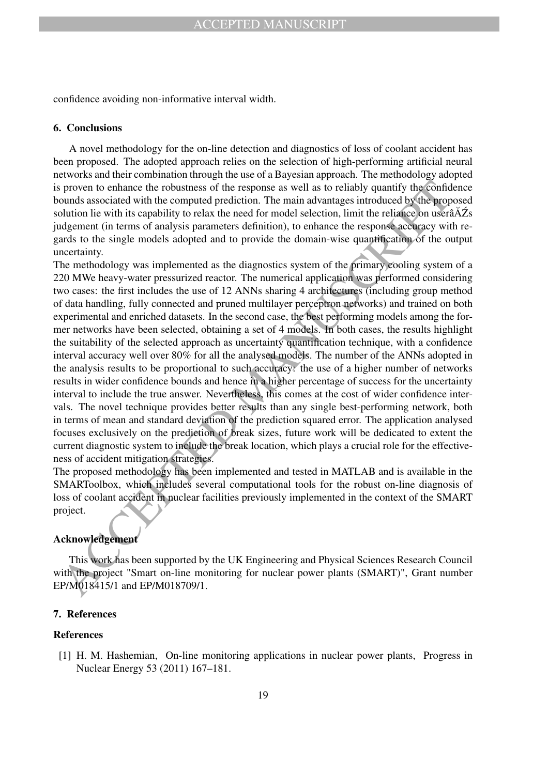confidence avoiding non-informative interval width.

#### **6. Conclusions**

A novel methodology for the on-line detection and diagnostics of loss of coolant accident has been proposed. The adopted approach relies on the selection of high-performing artificial neural networks and their combination through the use of a Bayesian approach. The methodology adopted is proven to enhance the robustness of the response as well as to reliably quantify the confidence bounds associated with the computed prediction. The main advantages introduced by the proposed solution lie with its capability to relax the need for model selection, limit the reliance on user $\tilde{A}Z_{S}$ judgement (in terms of analysis parameters definition), to enhance the response accuracy with regards to the single models adopted and to provide the domain-wise quantification of the output uncertainty.

proven to enhance the robustness of the response as well as to reliably quantify the Confudorulou and associated with the computed prediction. The main advantages introduced by the proposition in bit with its capability to The methodology was implemented as the diagnostics system of the primary cooling system of a 220 MWe heavy-water pressurized reactor. The numerical application was performed considering two cases: the first includes the use of 12 ANNs sharing 4 architectures (including group method of data handling, fully connected and pruned multilayer perceptron networks) and trained on both experimental and enriched datasets. In the second case, the best performing models among the former networks have been selected, obtaining a set of 4 models. In both cases, the results highlight the suitability of the selected approach as uncertainty quantification technique, with a confidence interval accuracy well over 80% for all the analysed models. The number of the ANNs adopted in the analysis results to be proportional to such accuracy: the use of a higher number of networks results in wider confidence bounds and hence in a higher percentage of success for the uncertainty interval to include the true answer. Nevertheless, this comes at the cost of wider confidence intervals. The novel technique provides better results than any single best-performing network, both in terms of mean and standard deviation of the prediction squared error. The application analysed focuses exclusively on the prediction of break sizes, future work will be dedicated to extent the current diagnostic system to include the break location, which plays a crucial role for the effectiveness of accident mitigation strategies.

The proposed methodology has been implemented and tested in MATLAB and is available in the SMARToolbox, which includes several computational tools for the robust on-line diagnosis of loss of coolant accident in nuclear facilities previously implemented in the context of the SMART project.

## **Acknowledgement**

This work has been supported by the UK Engineering and Physical Sciences Research Council with the project "Smart on-line monitoring for nuclear power plants (SMART)", Grant number EP/M018415/1 and EP/M018709/1.

#### **7. References**

#### **References**

[1] H. M. Hashemian, On-line monitoring applications in nuclear power plants, Progress in Nuclear Energy 53 (2011) 167–181.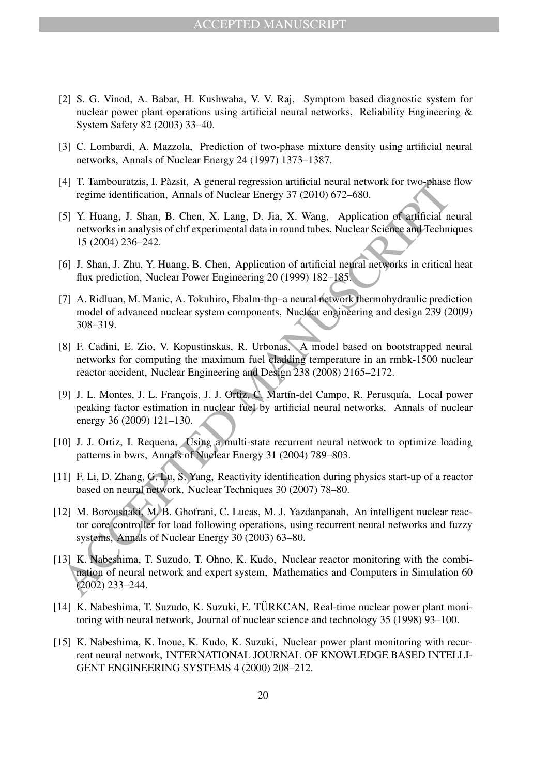- [2] S. G. Vinod, A. Babar, H. Kushwaha, V. V. Raj, Symptom based diagnostic system for nuclear power plant operations using artificial neural networks, Reliability Engineering & System Safety 82 (2003) 33–40.
- [3] C. Lombardi, A. Mazzola, Prediction of two-phase mixture density using artificial neural networks, Annals of Nuclear Energy 24 (1997) 1373–1387.
- [4] T. Tambouratzis, I. Pàzsit, A general regression artificial neural network for two-phase flow regime identification, Annals of Nuclear Energy 37 (2010) 672–680.
- [5] Y. Huang, J. Shan, B. Chen, X. Lang, D. Jia, X. Wang, Application of artificial neural networks in analysis of chf experimental data in round tubes, Nuclear Science and Techniques 15 (2004) 236–242.
- [6] J. Shan, J. Zhu, Y. Huang, B. Chen, Application of artificial neural networks in critical heat flux prediction, Nuclear Power Engineering 20 (1999) 182–185.
- 14) I. i ambouratas, I. Pazar, A general regressor articlea neural network for two-phase<br>regime identification, Annals of Nuclear Energy 37 (2010) 672–680.<br>
[5] Y. Huang, J. Shan, B. Chen, X. Lang, D. Jia, X. Wang, Applic [7] A. Ridluan, M. Manic, A. Tokuhiro, Ebalm-thp–a neural network thermohydraulic prediction model of advanced nuclear system components, Nuclear engineering and design 239 (2009) 308–319.
- [8] F. Cadini, E. Zio, V. Kopustinskas, R. Urbonas, A model based on bootstrapped neural networks for computing the maximum fuel cladding temperature in an rmbk-1500 nuclear reactor accident, Nuclear Engineering and Design 238 (2008) 2165–2172.
- [9] J. L. Montes, J. L. François, J. J. Ortiz, C. Martín-del Campo, R. Perusquía, Local power peaking factor estimation in nuclear fuel by artificial neural networks, Annals of nuclear energy 36 (2009) 121–130.
- [10] J. J. Ortiz, I. Requena, Using a multi-state recurrent neural network to optimize loading patterns in bwrs, Annals of Nuclear Energy 31 (2004) 789–803.
- [11] F. Li, D. Zhang, G. Lu, S. Yang, Reactivity identification during physics start-up of a reactor based on neural network, Nuclear Techniques 30 (2007) 78–80.
- [12] M. Boroushaki, M. B. Ghofrani, C. Lucas, M. J. Yazdanpanah, An intelligent nuclear reactor core controller for load following operations, using recurrent neural networks and fuzzy systems, Annals of Nuclear Energy 30 (2003) 63–80.
- [13] K. Nabeshima, T. Suzudo, T. Ohno, K. Kudo, Nuclear reactor monitoring with the combination of neural network and expert system, Mathematics and Computers in Simulation 60 (2002) 233–244.
- [14] K. Nabeshima, T. Suzudo, K. Suzuki, E. TÜRKCAN, Real-time nuclear power plant monitoring with neural network, Journal of nuclear science and technology 35 (1998) 93–100.
- [15] K. Nabeshima, K. Inoue, K. Kudo, K. Suzuki, Nuclear power plant monitoring with recurrent neural network, INTERNATIONAL JOURNAL OF KNOWLEDGE BASED INTELLI-GENT ENGINEERING SYSTEMS 4 (2000) 208–212.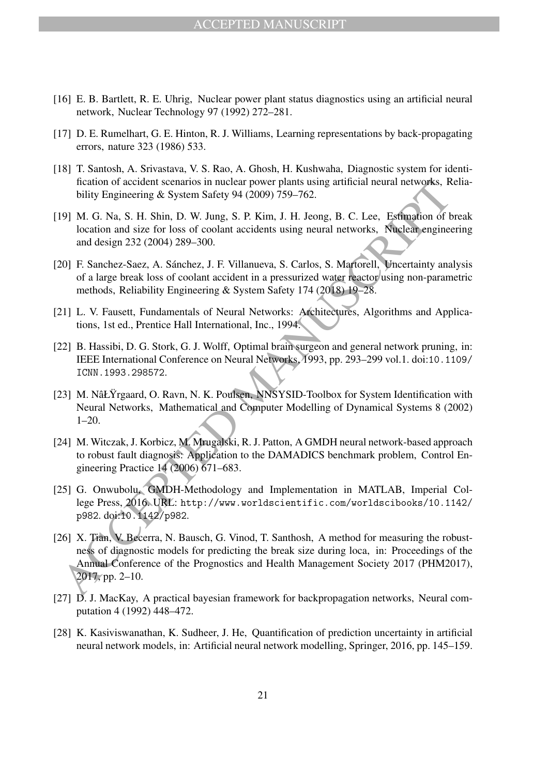- [16] E. B. Bartlett, R. E. Uhrig, Nuclear power plant status diagnostics using an artificial neural network, Nuclear Technology 97 (1992) 272–281.
- [17] D. E. Rumelhart, G. E. Hinton, R. J. Williams, Learning representations by back-propagating errors, nature 323 (1986) 533.
- [18] T. Santosh, A. Srivastava, V. S. Rao, A. Ghosh, H. Kushwaha, Diagnostic system for identification of accident scenarios in nuclear power plants using artificial neural networks, Reliability Engineering & System Safety 94 (2009) 759–762.
- [19] M. G. Na, S. H. Shin, D. W. Jung, S. P. Kim, J. H. Jeong, B. C. Lee, Estimation of break location and size for loss of coolant accidents using neural networks, Nuclear engineering and design 232 (2004) 289–300.
- [20] F. Sanchez-Saez, A. Sánchez, J. F. Villanueva, S. Carlos, S. Martorell, Uncertainty analysis of a large break loss of coolant accident in a pressurized water reactor using non-parametric methods, Reliability Engineering & System Safety 174 (2018) 19–28.
- [21] L. V. Fausett, Fundamentals of Neural Networks: Architectures, Algorithms and Applications, 1st ed., Prentice Hall International, Inc., 1994.
- [22] B. Hassibi, D. G. Stork, G. J. Wolff, Optimal brain surgeon and general network pruning, in: IEEE International Conference on Neural Networks, 1993, pp. 293–299 vol.1. doi:10.1109/ ICNN.1993.298572.
- [23] M. NâŁŸrgaard, O. Ravn, N. K. Poulsen, NNSYSID-Toolbox for System Identification with Neural Networks, Mathematical and Computer Modelling of Dynamical Systems 8 (2002) 1–20.
- [24] M. Witczak, J. Korbicz, M. Mrugalski, R. J. Patton, A GMDH neural network-based approach to robust fault diagnosis: Application to the DAMADICS benchmark problem, Control Engineering Practice 14 (2006) 671–683.
- [25] G. Onwubolu, GMDH-Methodology and Implementation in MATLAB, Imperial College Press, 2016. URL: http://www.worldscientific.com/worldscibooks/10.1142/ p982. doi:10.1142/p982.
- Icadom of accelent scenarios in nuclear power planes ang artifical neural networks. R<br>
Hilly Engineering & System Safety 94 (2009) 759-762.<br>
19) M. G. Na, S. H. Shin, D. W. Jung, S. P. Kim, J. H. Jeong, B. C. Lee, Estimati [26] X. Tian, V. Becerra, N. Bausch, G. Vinod, T. Santhosh, A method for measuring the robustness of diagnostic models for predicting the break size during loca, in: Proceedings of the Annual Conference of the Prognostics and Health Management Society 2017 (PHM2017), 2017, pp. 2–10.
- [27] D. J. MacKay, A practical bayesian framework for backpropagation networks, Neural computation 4 (1992) 448–472.
- [28] K. Kasiviswanathan, K. Sudheer, J. He, Quantification of prediction uncertainty in artificial neural network models, in: Artificial neural network modelling, Springer, 2016, pp. 145–159.